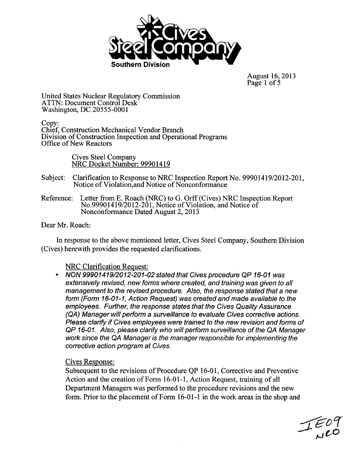

August 16, 2013 Page 1 of 5

United States Nuclear Regulatory Commission ATTN: Document Control Desk Washington, DC 20555-0001

Copy: Chief, Construction Mechanical Vendor. Branch Division of Construction Inspection and Operational Programs Office of New Reactors

> Cives Steel Company NRC Docket Number: 99901419

Subject: Clarification to Response to NRC Inspection Report No. 99901419/2012-201, Notice of Violation,and Notice of Nonconformance

Reference: Letter from **E.** Roach (NRC) to G. Orff (Cives) NRC Inspection Report No.99901419/2012-201, Notice of Violation, and Notice of Nonconformance Dated August 2, 2013

Dear Mr. Roach:

In response to the above mentioned letter, Cives Steel Company, Southern Division (Cives) herewith provides the requested clarifications.

#### NRC Clarification Request:

*NON 99901419/2012-201-02 stated that Cives procedure QP 16-01 was extensively revised, new forms where created, and training was given to all management to the revised procedure. Also, the response stated that a new form (Form 16-01-1, Action Request) was created and made available to the employees. Further, the response states that the Cives Quality Assurance (QA) Manager will perform a surveillance to evaluate Cives corrective actions. Please clarify if Cives employees were trained to the new revision and forms of QP 16-01. Also, please clarify who will perform surveillance of the QA Manager work since the QA Manager is the manager responsible for implementing the corrective action program at Cives.*

#### Cives Response:

Subsequent to the revisions of Procedure QP 16-01, Corrective and Preventive Action and the creation of Form 16-01-1, Action Request, training of all Department Managers was performed to the procedure revisions and the new form. Prior to the placement of Form 16-01-1 in the work areas in the shop and

 $TE09$ <br>Neo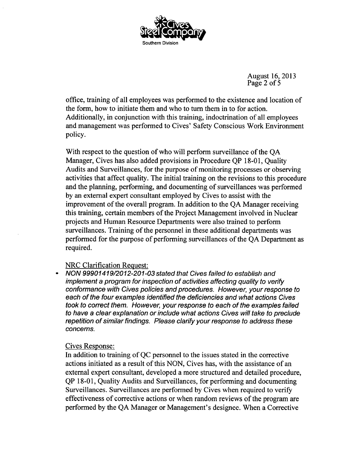

August 16, 2013 Page 2 of  $\overline{5}$ 

office, training of all employees was performed to the existence and location of the form, how to initiate them and who to turn them in to for action. Additionally, in conjunction with this training, indoctrination of all employees and management was performed to Cives' Safety Conscious Work Environment policy.

With respect to the question of who will perform surveillance of the QA Manager, Cives has also added provisions in Procedure QP 18-01, Quality Audits and Surveillances, for the purpose of monitoring processes or observing activities that affect quality. The initial training on the revisions to this procedure and the planning, performing, and documenting of surveillances was performed by an external expert consultant employed by Cives to assist with the improvement of the overall program. In addition to the QA Manager receiving this training, certain members of the Project Management involved in Nuclear projects and Human Resource Departments were also trained to perform surveillances. Training of the personnel in these additional departments was performed for the purpose of performing surveillances of the QA Department as required.

## NRC Clarification Request:

*NON 99901419/2012-201-03 stated that Cives failed to establish and implement a program for inspection of activities affecting quality to verify conformance with Cives policies and procedures. However, your response to each of the four examples identified the deficiencies and what actions Cives took to correct them. However, your response to each of the examples failed to have a clear explanation or include what actions Cives will take to preclude repetition of similar findings. Please clarify your response to address these concems.*

## Cives Response:

In addition to training of QC personnel to the issues stated in the corrective actions initiated as a result of this NON, Cives has, with the assistance of an external expert consultant, developed a more structured and detailed procedure, QP 18-01, Quality Audits and Surveillances, for performing and documenting Surveillances. Surveillances are performed by Cives when required to verify effectiveness of corrective actions or when random reviews of the program are performed by the QA Manager or Management's designee. When a Corrective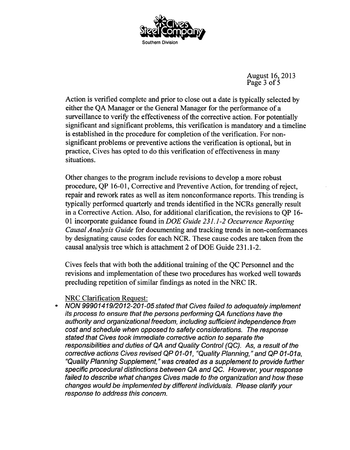

August 16, 2013 Page 3 of 5

Action is verified complete and prior to close out a date is typically selected by either the QA Manager or the General Manager for the performance of a surveillance to verify the effectiveness of the corrective action. For potentially significant and significant problems, this verification is mandatory and a timeline is established in the procedure for completion of the verification. For nonsignificant problems or preventive actions the verification is optional, but in practice, Cives has opted to do this verification of effectiveness in many situations.

Other changes to the program include revisions to develop a more robust procedure, QP 16-01, Corrective and Preventive Action, for trending of reject, repair and rework rates as well as item nonconformance reports. This trending is typically performed quarterly and trends identified in the NCRs generally result in a Corrective Action. Also, for additional clarification, the revisions to QP 16- 01 incorporate guidance found in *DOE Guide 231.1-2 Occurrence Reporting Causal Analysis Guide* for documenting and tracking trends in non-conformances by designating cause codes for each NCR. These cause codes are taken from the causal analysis tree which is attachment 2 of DOE Guide 231.1-2.

Cives feels that with both the additional training of the QC Personnel and the revisions and implementation of these two procedures has worked well towards precluding repetition of similar findings as noted in the NRC IR.

#### NRC Clarification Request:

*NON 99901419/2012-201-05 stated that Cives failed to adequately implement its process to ensure that the persons performing QA functions have the authority and organizational freedom, including sufficient independence from cost and schedule when opposed to safety considerations. The response stated that Cives took immediate corrective action to separate the responsibilities and duties of QA and Quality Control (QC). As, a result of the corrective actions Cives revised QP 01-01, "Quality Planning," and QP 01-01a, "Quality Planning Supplement," was created as a supplement to provide further specific procedural distinctions between QA and QC. However, your response failed to describe what changes Cives made to the organization and how these changes would be implemented by different individuals. Please clarify your response to address this concern.*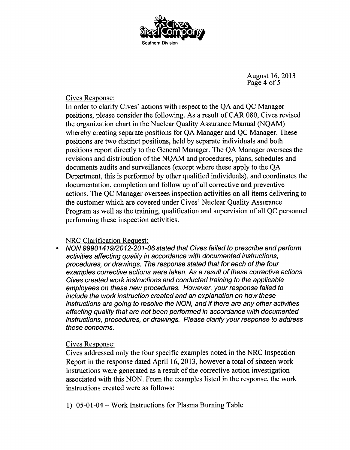

August 16, 2013 Page 4 of 5

## Cives Response:

In order to clarify Cives' actions with respect to the QA and QC Manager positions, please consider the following. As a result of CAR 080, Cives revised the organization chart in the Nuclear Quality Assurance Manual (NQAM) whereby creating separate positions for QA Manager and QC Manager. These positions are two distinct positions, held by separate individuals and both positions report directly to the General Manager. The QA Manager oversees the revisions and distribution of the NQAM and procedures, plans, schedules and documents audits and surveillances (except where these apply to the QA Department, this is performed by other qualified individuals), and coordinates the documentation, completion and follow up of all corrective and preventive actions. The QC Manager oversees inspection activities on all items delivering to the customer which are covered under Cives' Nuclear Quality Assurance Program as well as the training, qualification and supervision of all QC personnel performing these inspection activities.

## NRC Clarification Request:

*NON 99901419/2012-201-06 stated that Cives failed to prescribe and perform activities affecting quality in accordance with documented instructions, procedures, or drawings. The response stated that for each of the four examples corrective actions were taken. As a result of these corrective actions Cives created work instructions and conducted training to the applicable employees on these new procedures. However, your response failed to include the work instruction created and an explanation on how these instructions are going to resolve the NON, and if there are any other activities affecting quality that are not been performed in accordance with documented instructions, procedures, or drawings. Please clarify your response to address these concerns.*

# Cives Response:

Cives addressed only the four specific examples noted in the NRC Inspection Report in the response dated April 16, 2013, however a total of sixteen work instructions were generated as a result of the corrective action investigation associated with this NON. From the examples listed in the response, the work instructions created were as follows:

1) 05-01-04 - Work Instructions for Plasma Burning Table